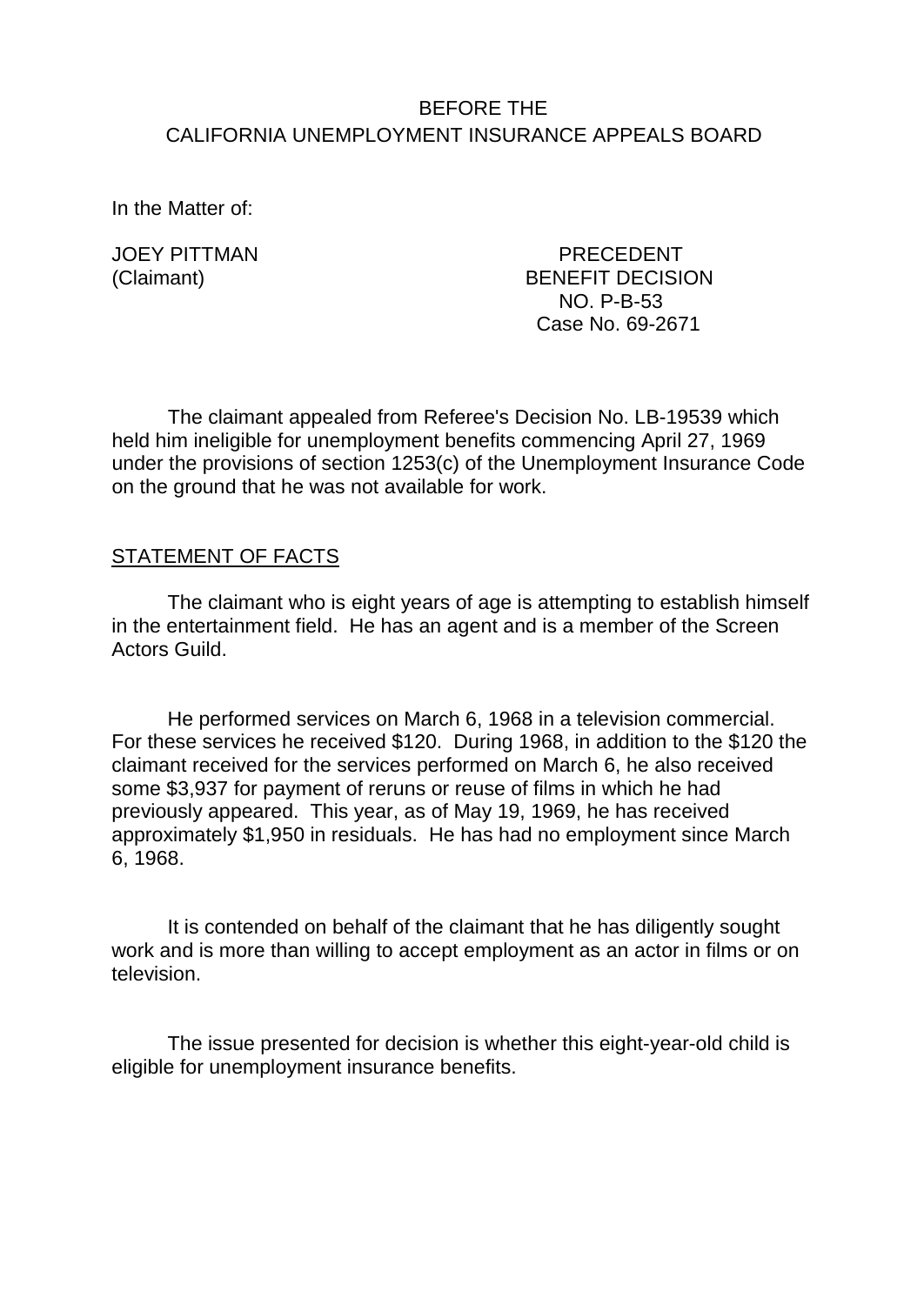# BEFORE THE CALIFORNIA UNEMPLOYMENT INSURANCE APPEALS BOARD

In the Matter of:

JOEY PITTMAN PRECEDENT (Claimant) BENEFIT DECISION NO. P-B-53 Case No. 69-2671

The claimant appealed from Referee's Decision No. LB-19539 which held him ineligible for unemployment benefits commencing April 27, 1969 under the provisions of section 1253(c) of the Unemployment Insurance Code on the ground that he was not available for work.

## STATEMENT OF FACTS

The claimant who is eight years of age is attempting to establish himself in the entertainment field. He has an agent and is a member of the Screen Actors Guild.

He performed services on March 6, 1968 in a television commercial. For these services he received \$120. During 1968, in addition to the \$120 the claimant received for the services performed on March 6, he also received some \$3,937 for payment of reruns or reuse of films in which he had previously appeared. This year, as of May 19, 1969, he has received approximately \$1,950 in residuals. He has had no employment since March 6, 1968.

It is contended on behalf of the claimant that he has diligently sought work and is more than willing to accept employment as an actor in films or on television.

The issue presented for decision is whether this eight-year-old child is eligible for unemployment insurance benefits.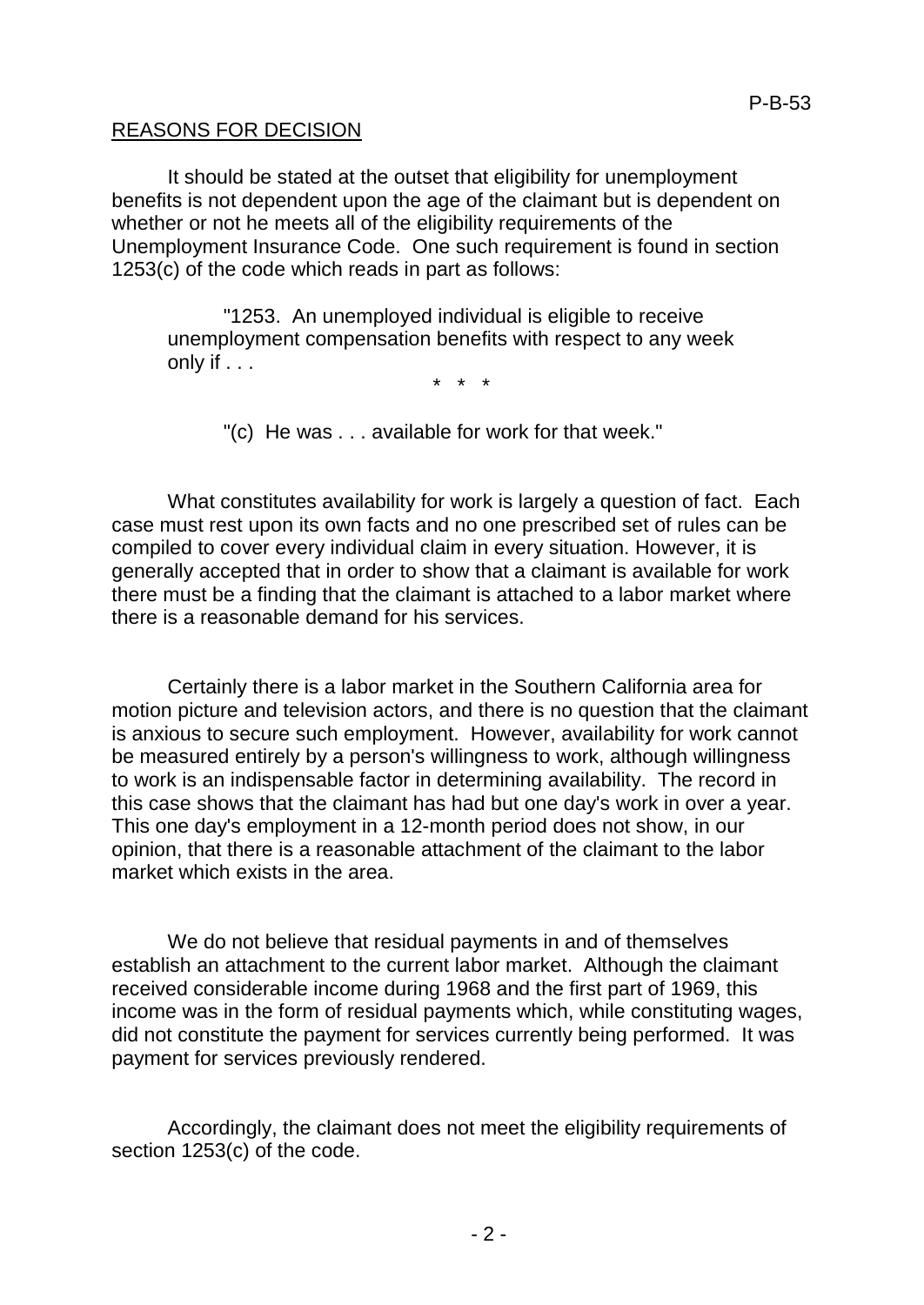#### REASONS FOR DECISION

It should be stated at the outset that eligibility for unemployment benefits is not dependent upon the age of the claimant but is dependent on whether or not he meets all of the eligibility requirements of the Unemployment Insurance Code. One such requirement is found in section 1253(c) of the code which reads in part as follows:

"1253. An unemployed individual is eligible to receive unemployment compensation benefits with respect to any week only if . . .

\* \* \*

"(c) He was . . . available for work for that week."

What constitutes availability for work is largely a question of fact. Each case must rest upon its own facts and no one prescribed set of rules can be compiled to cover every individual claim in every situation. However, it is generally accepted that in order to show that a claimant is available for work there must be a finding that the claimant is attached to a labor market where there is a reasonable demand for his services.

Certainly there is a labor market in the Southern California area for motion picture and television actors, and there is no question that the claimant is anxious to secure such employment. However, availability for work cannot be measured entirely by a person's willingness to work, although willingness to work is an indispensable factor in determining availability. The record in this case shows that the claimant has had but one day's work in over a year. This one day's employment in a 12-month period does not show, in our opinion, that there is a reasonable attachment of the claimant to the labor market which exists in the area.

We do not believe that residual payments in and of themselves establish an attachment to the current labor market. Although the claimant received considerable income during 1968 and the first part of 1969, this income was in the form of residual payments which, while constituting wages, did not constitute the payment for services currently being performed. It was payment for services previously rendered.

Accordingly, the claimant does not meet the eligibility requirements of section 1253(c) of the code.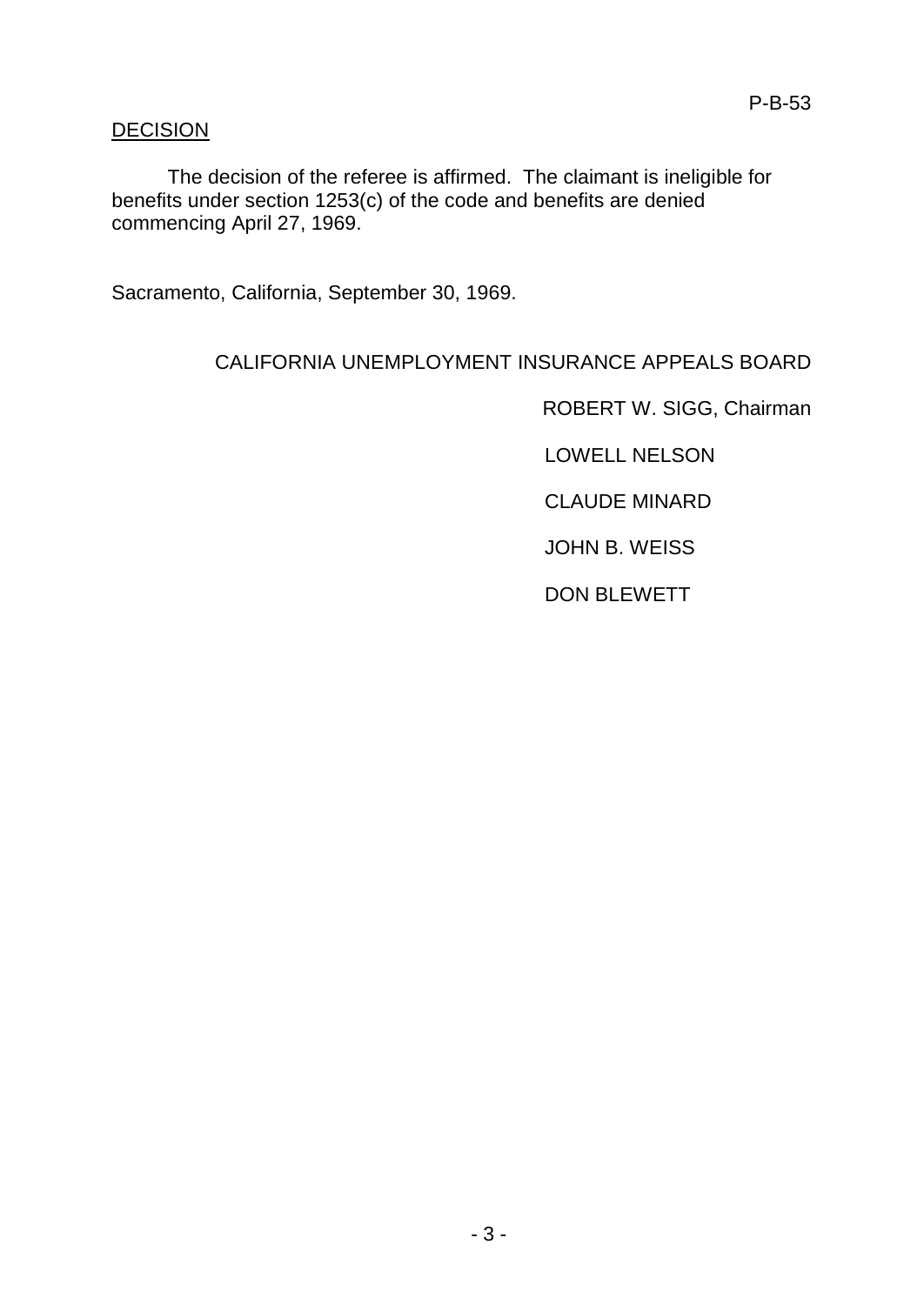# **DECISION**

The decision of the referee is affirmed. The claimant is ineligible for benefits under section 1253(c) of the code and benefits are denied commencing April 27, 1969.

Sacramento, California, September 30, 1969.

## CALIFORNIA UNEMPLOYMENT INSURANCE APPEALS BOARD

ROBERT W. SIGG, Chairman

LOWELL NELSON

CLAUDE MINARD

JOHN B. WEISS

DON BLEWETT